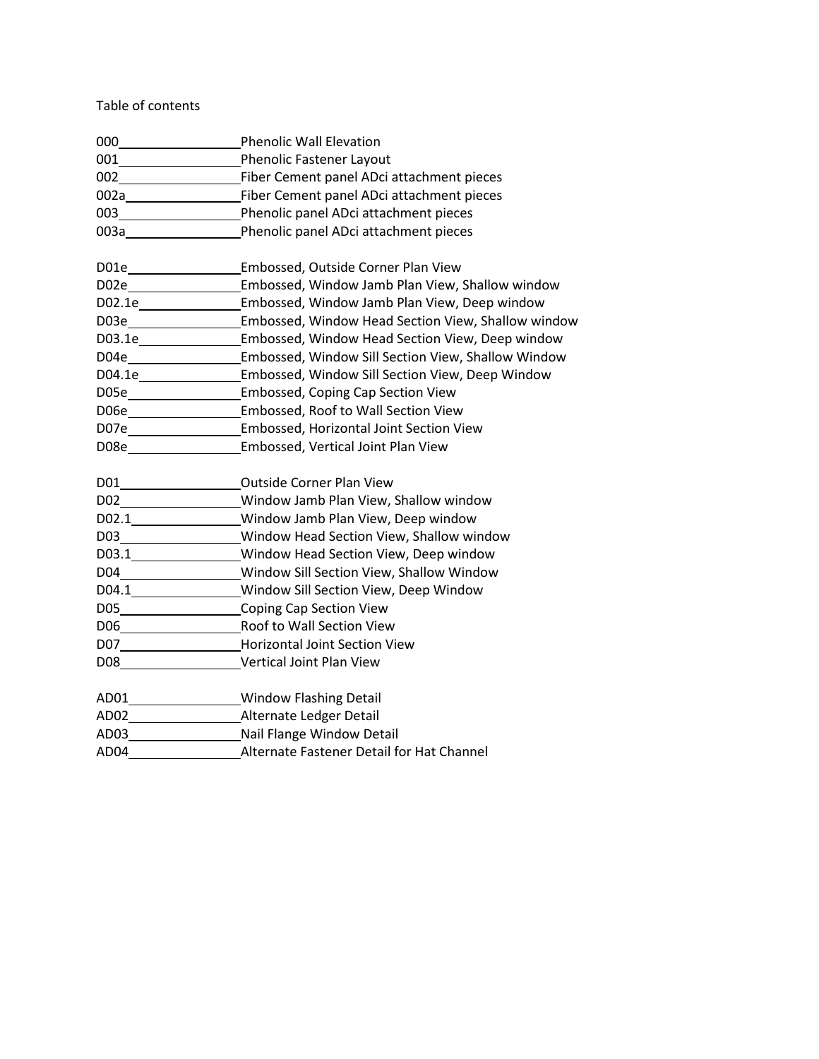Table of contents

| $\begin{picture}(180,10) \put(0,0){\line(1,0){10}} \put(0,0){\line(1,0){10}} \put(0,0){\line(1,0){10}} \put(0,0){\line(1,0){10}} \put(0,0){\line(1,0){10}} \put(0,0){\line(1,0){10}} \put(0,0){\line(1,0){10}} \put(0,0){\line(1,0){10}} \put(0,0){\line(1,0){10}} \put(0,0){\line(1,0){10}} \put(0,0){\line(1,0){10}} \put(0,0){\line(1,0){10}} \put(0$ | <b>Phenolic Wall Elevation</b>                                          |
|----------------------------------------------------------------------------------------------------------------------------------------------------------------------------------------------------------------------------------------------------------------------------------------------------------------------------------------------------------|-------------------------------------------------------------------------|
| 001                                                                                                                                                                                                                                                                                                                                                      | <b>Phenolic Fastener Layout</b>                                         |
|                                                                                                                                                                                                                                                                                                                                                          |                                                                         |
|                                                                                                                                                                                                                                                                                                                                                          |                                                                         |
|                                                                                                                                                                                                                                                                                                                                                          |                                                                         |
|                                                                                                                                                                                                                                                                                                                                                          | 003a Phenolic panel ADci attachment pieces                              |
| DO1e                                                                                                                                                                                                                                                                                                                                                     | Embossed, Outside Corner Plan View                                      |
|                                                                                                                                                                                                                                                                                                                                                          | Embossed, Window Jamb Plan View, Shallow window                         |
|                                                                                                                                                                                                                                                                                                                                                          | Embossed, Window Jamb Plan View, Deep window                            |
|                                                                                                                                                                                                                                                                                                                                                          | Embossed, Window Head Section View, Shallow window                      |
|                                                                                                                                                                                                                                                                                                                                                          | D03.1e__________________Embossed, Window Head Section View, Deep window |
|                                                                                                                                                                                                                                                                                                                                                          | D04e Embossed, Window Sill Section View, Shallow Window                 |
|                                                                                                                                                                                                                                                                                                                                                          | Embossed, Window Sill Section View, Deep Window                         |
|                                                                                                                                                                                                                                                                                                                                                          | Embossed, Coping Cap Section View                                       |
|                                                                                                                                                                                                                                                                                                                                                          | Embossed, Roof to Wall Section View                                     |
|                                                                                                                                                                                                                                                                                                                                                          | Embossed, Horizontal Joint Section View                                 |
|                                                                                                                                                                                                                                                                                                                                                          | D08e _____________________Embossed, Vertical Joint Plan View            |
|                                                                                                                                                                                                                                                                                                                                                          | D01_________________________Outside Corner Plan View                    |
|                                                                                                                                                                                                                                                                                                                                                          | D02___________________Window Jamb Plan View, Shallow window             |
| D02.1                                                                                                                                                                                                                                                                                                                                                    | Window Jamb Plan View, Deep window                                      |
|                                                                                                                                                                                                                                                                                                                                                          | D03___________________Window Head Section View, Shallow window          |
|                                                                                                                                                                                                                                                                                                                                                          | D03.1 Window Head Section View, Deep window                             |
|                                                                                                                                                                                                                                                                                                                                                          | D04____________________Window Sill Section View, Shallow Window         |
|                                                                                                                                                                                                                                                                                                                                                          | D04.1________________Window Sill Section View, Deep Window              |
|                                                                                                                                                                                                                                                                                                                                                          | D05 Coping Cap Section View                                             |
|                                                                                                                                                                                                                                                                                                                                                          |                                                                         |
|                                                                                                                                                                                                                                                                                                                                                          | D07_________________________Horizontal Joint Section View               |
|                                                                                                                                                                                                                                                                                                                                                          | D08 Vertical Joint Plan View                                            |
|                                                                                                                                                                                                                                                                                                                                                          | AD01__________________Window Flashing Detail                            |
|                                                                                                                                                                                                                                                                                                                                                          |                                                                         |
|                                                                                                                                                                                                                                                                                                                                                          | AD03__________________________Nail Flange Window Detail                 |
|                                                                                                                                                                                                                                                                                                                                                          | AD04 Alternate Fastener Detail for Hat Channel                          |
|                                                                                                                                                                                                                                                                                                                                                          |                                                                         |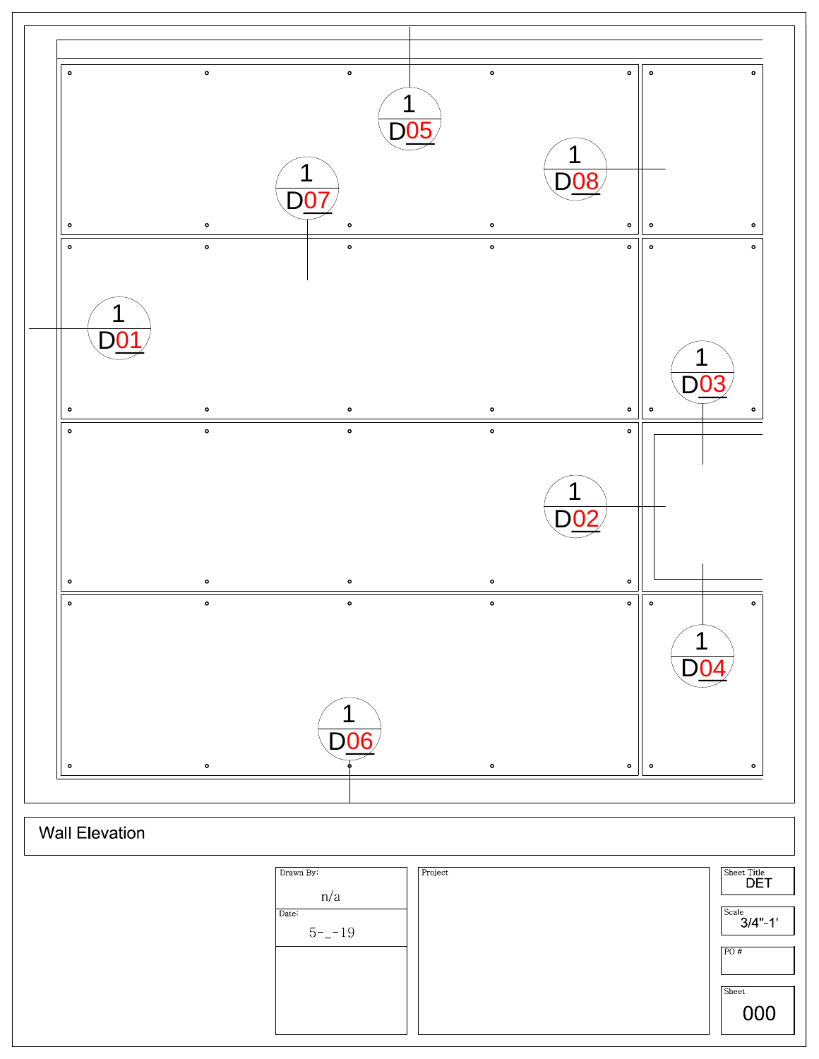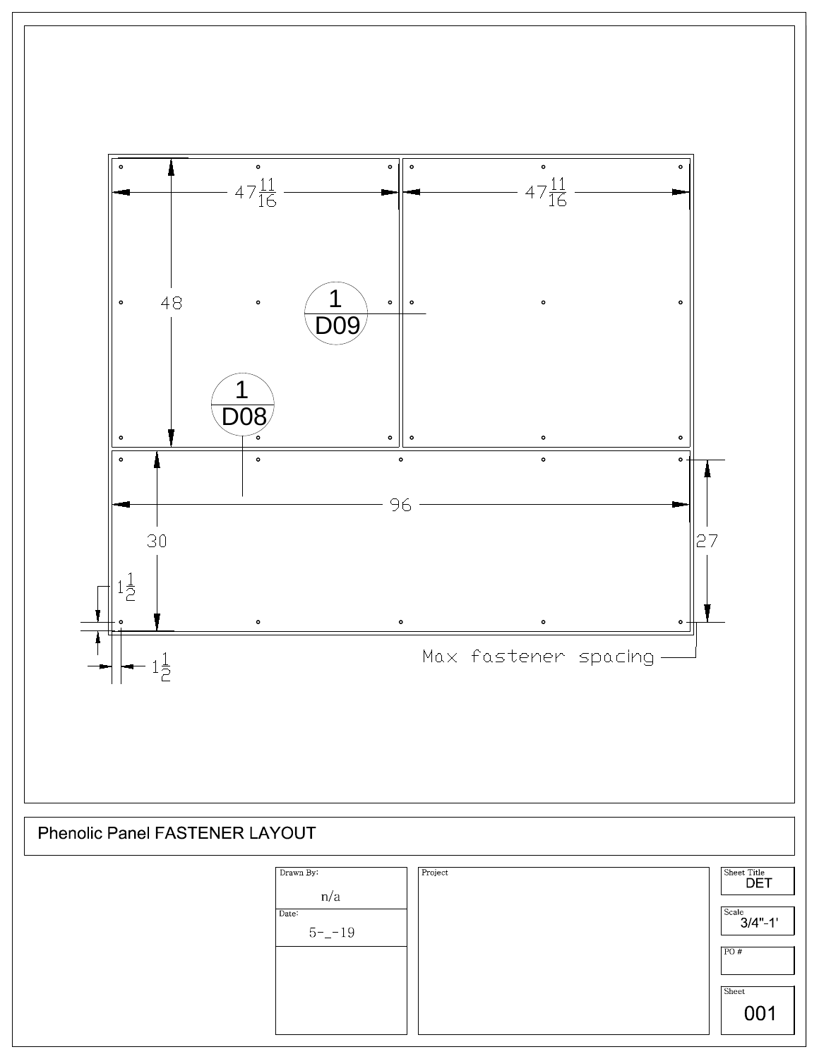

Phenolic Panel FASTENER LAYOUT

| Drawn By:<br>n/a<br>Date:<br>$5 - -19$ | Project | Sheet Title<br><b>DET</b><br>Scale<br>$3/4" - 1'$<br>PO# |
|----------------------------------------|---------|----------------------------------------------------------|
|                                        |         | Sheet<br>001                                             |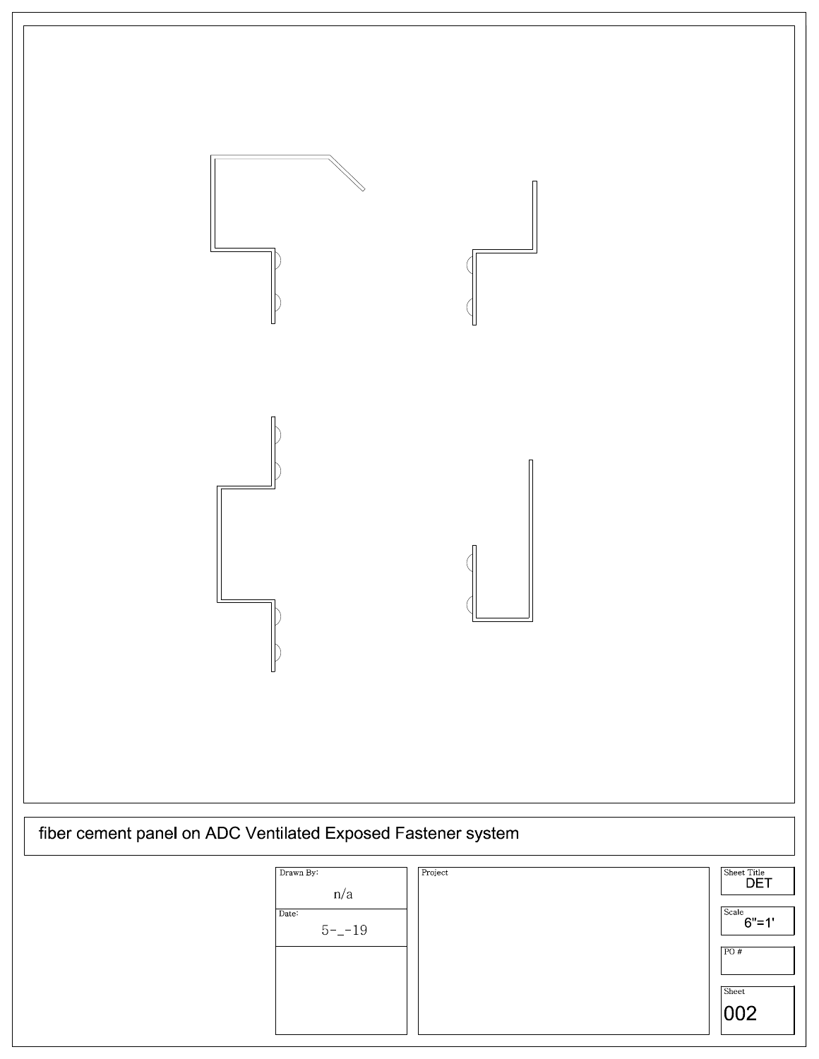| fiber cement panel on ADC Ventilated Exposed Fastener system<br>$\mbox{Drawn } \mbox{By:}$ | Project<br>$\overbrace{\text{sheet Title}}^{\text{Site}}$ |
|--------------------------------------------------------------------------------------------|-----------------------------------------------------------|

| n/a                | DE I               |
|--------------------|--------------------|
| Date:<br>$5 - -19$ | Scale<br>$6" = 1"$ |
|                    | PO#                |
|                    | Sheet<br> 002      |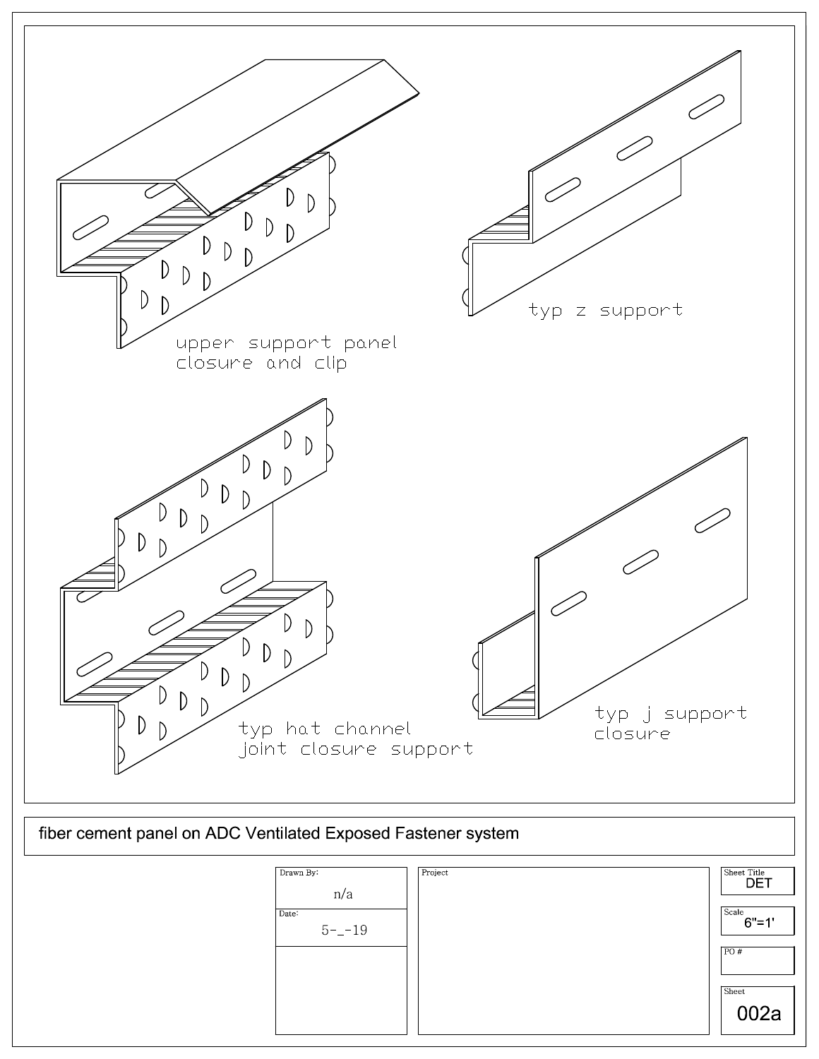

| Drawn By:<br>n/a<br>Date:<br>$5 - -19$ | Project | Sheet Title<br><b>DET</b><br>Scale<br>$6" = 1'$<br>PO#<br>Sheet<br>002a |
|----------------------------------------|---------|-------------------------------------------------------------------------|
|                                        |         |                                                                         |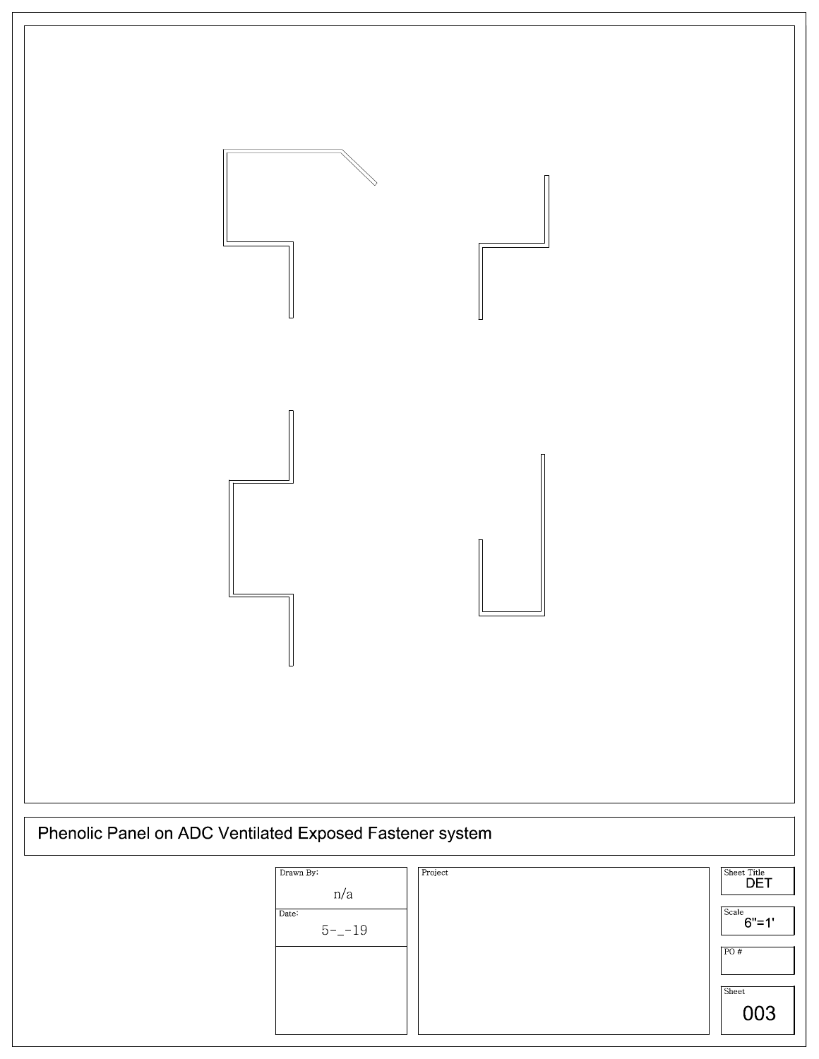

| Drawn By:<br>n/a   | Project | Sheet Title<br><b>DET</b> |
|--------------------|---------|---------------------------|
| Date:<br>$5 - -19$ |         | Scale<br>$6" = 1"$        |
|                    |         | PO#                       |
|                    |         | Sheet                     |
|                    |         | 003                       |
|                    |         |                           |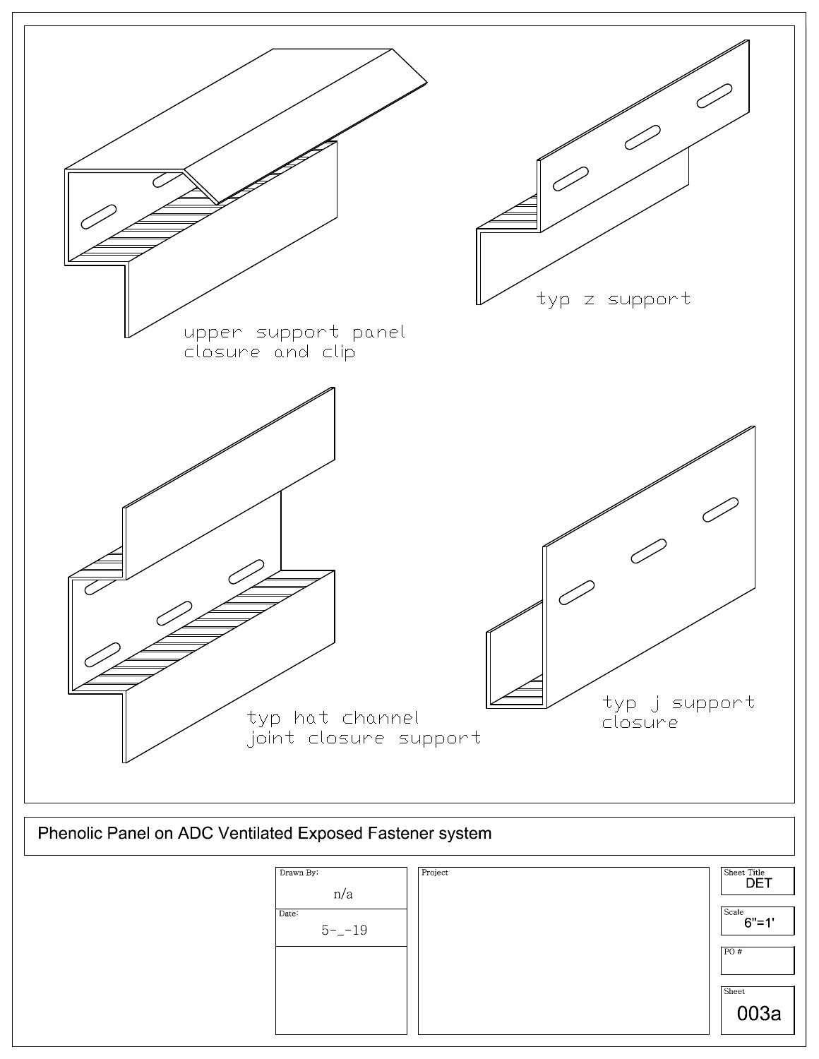

003a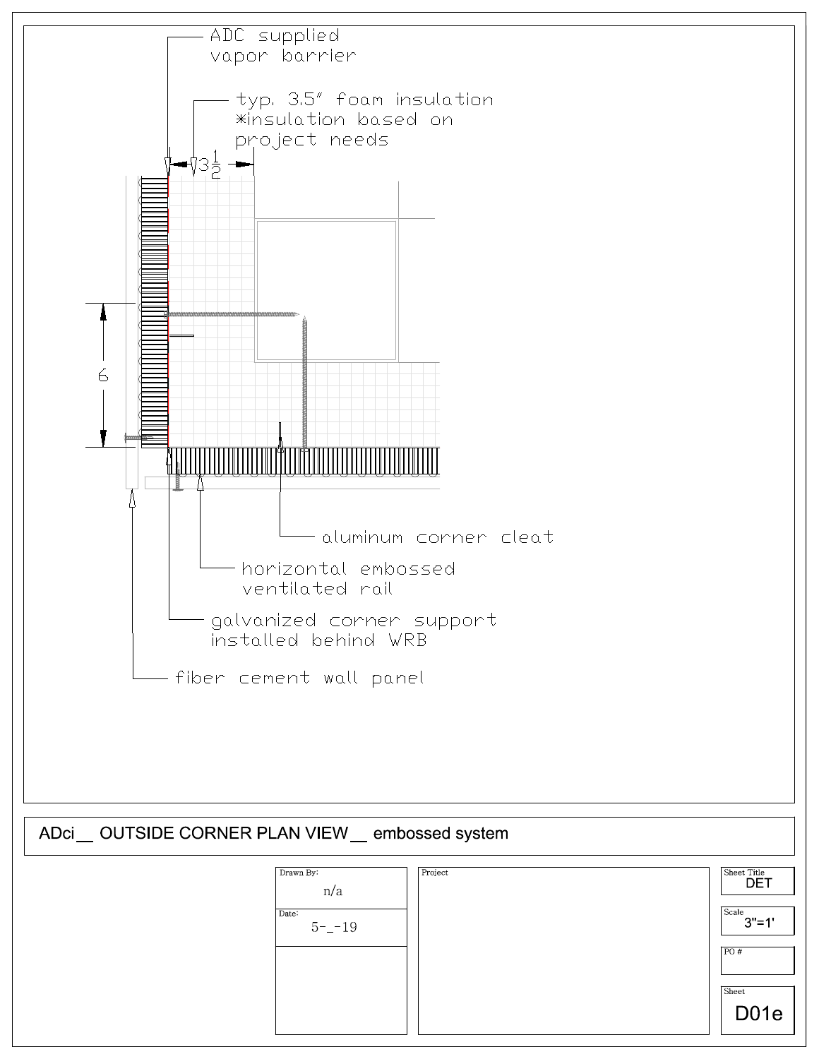

| Drawn By:<br>n/a   | Project | Sheet Title<br><b>DET</b> |
|--------------------|---------|---------------------------|
| Date:<br>$5 - -19$ |         | Scale<br>$3" = 1"$        |
|                    |         | PO#                       |
|                    |         | Sheet<br>D <sub>01e</sub> |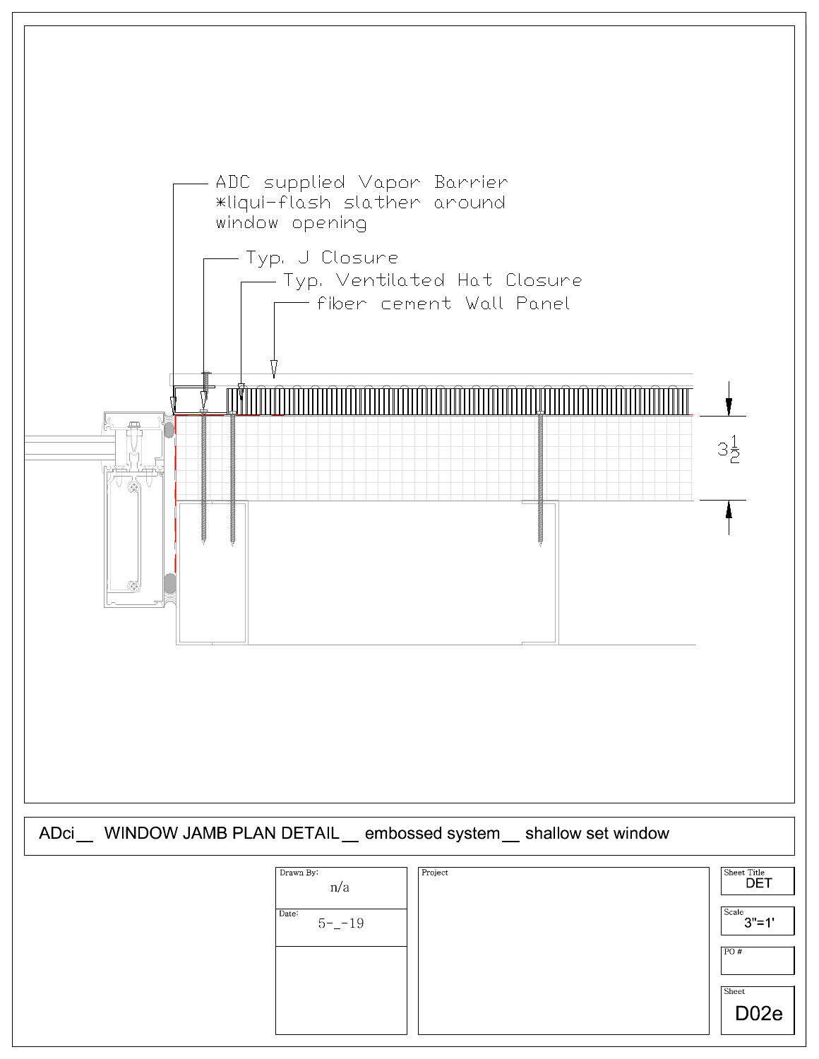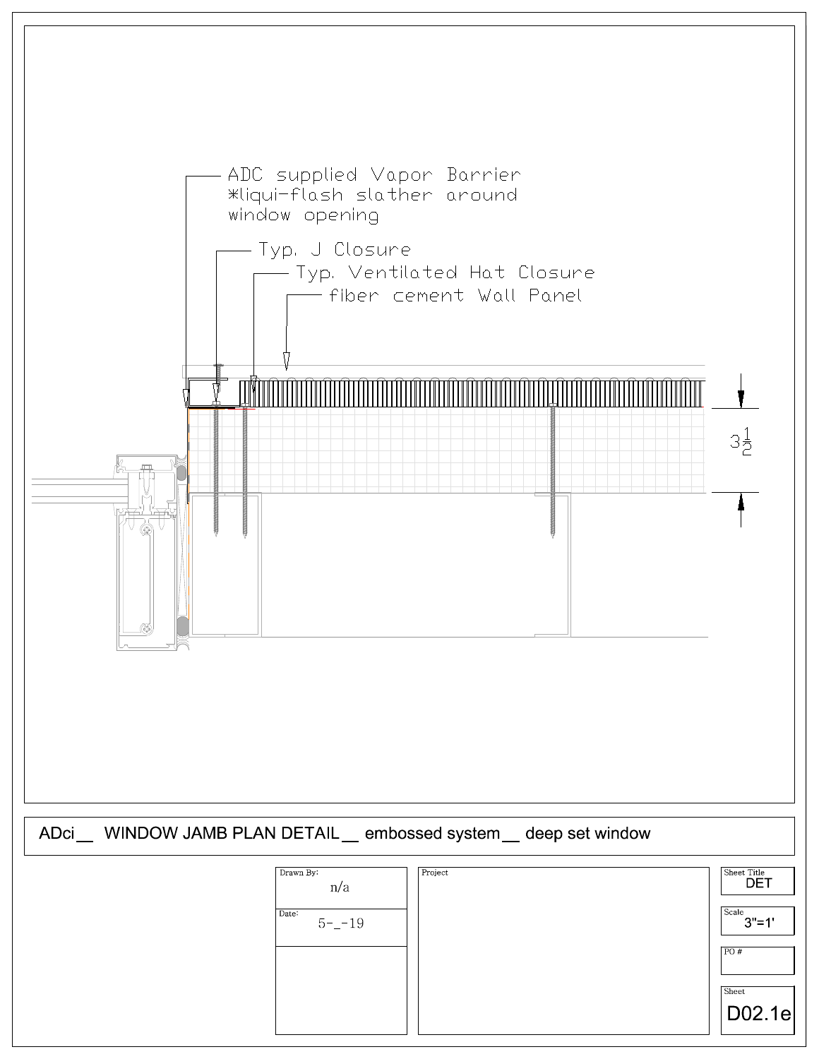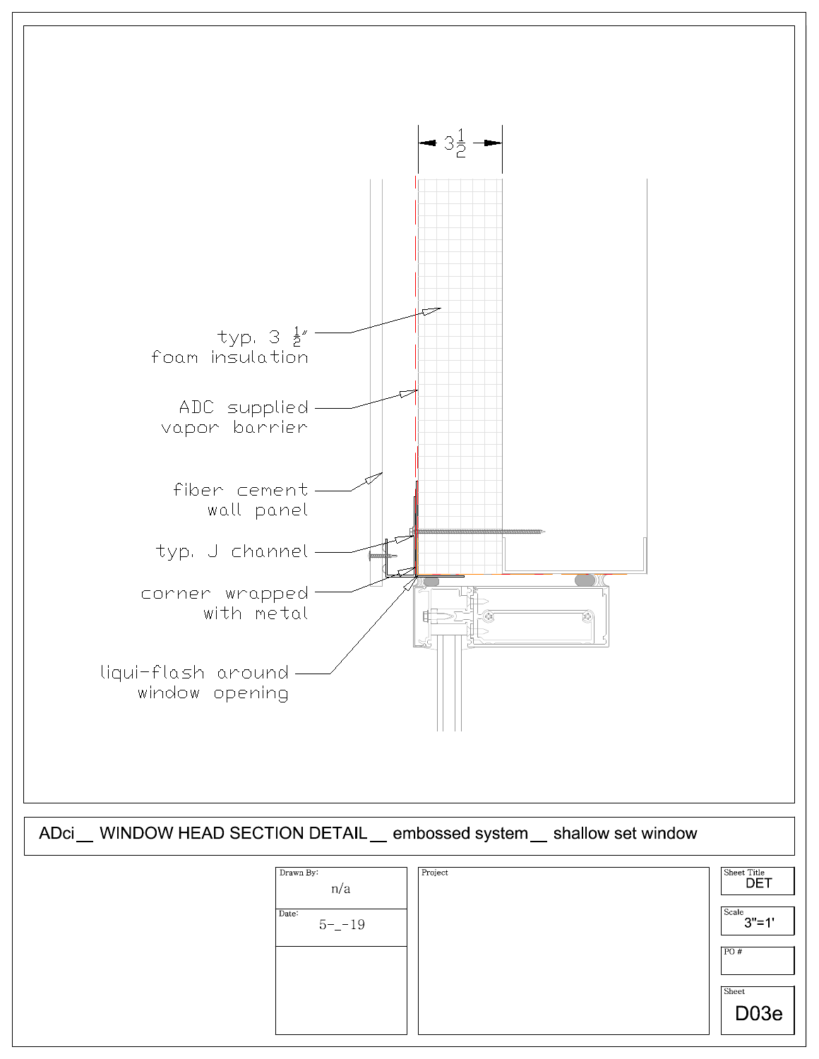

| Drawn By:<br>n/a   | Project | Sheet Title<br><b>DET</b> |
|--------------------|---------|---------------------------|
| Date:<br>$5 - -19$ |         | Scale<br>$3" = 1'$        |
|                    |         | PO#                       |
|                    |         | Sheet                     |
|                    |         | D <sub>03e</sub>          |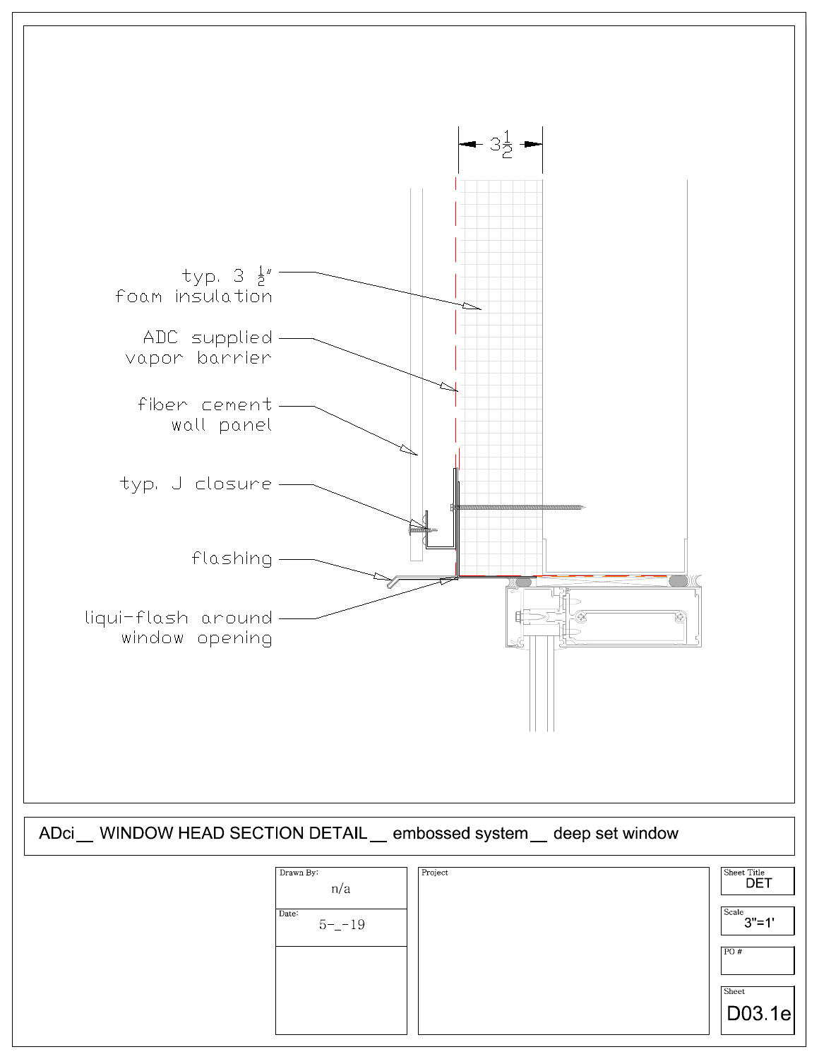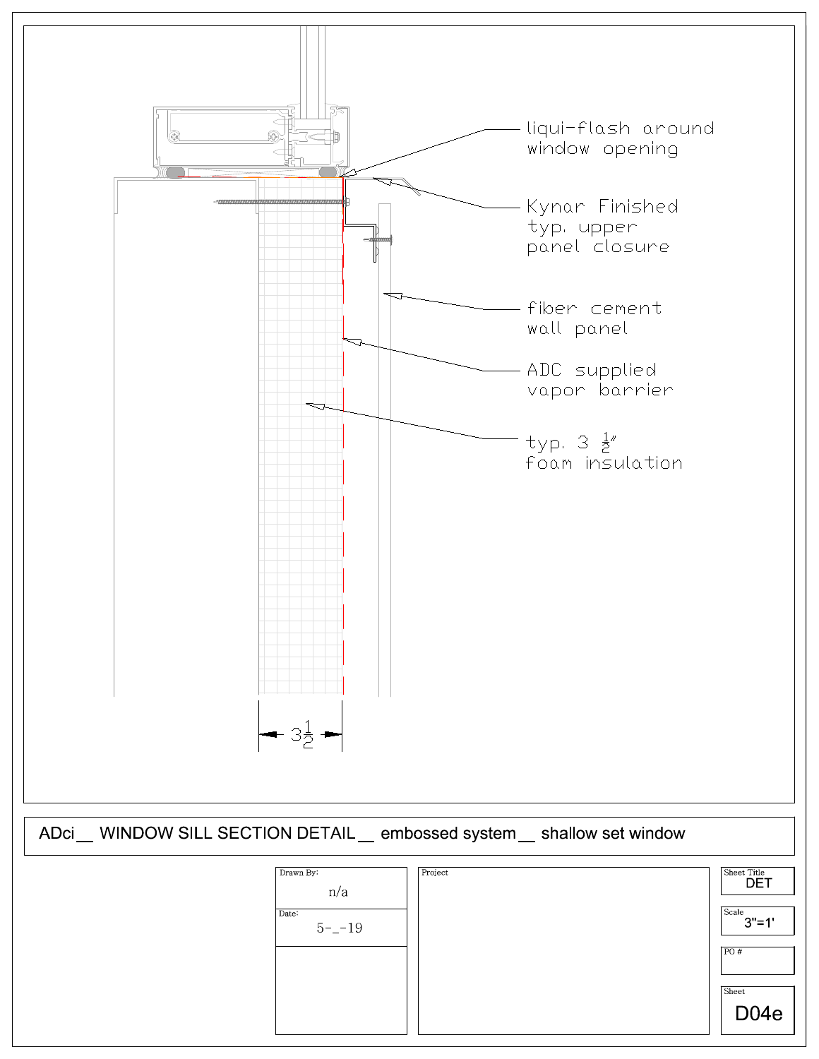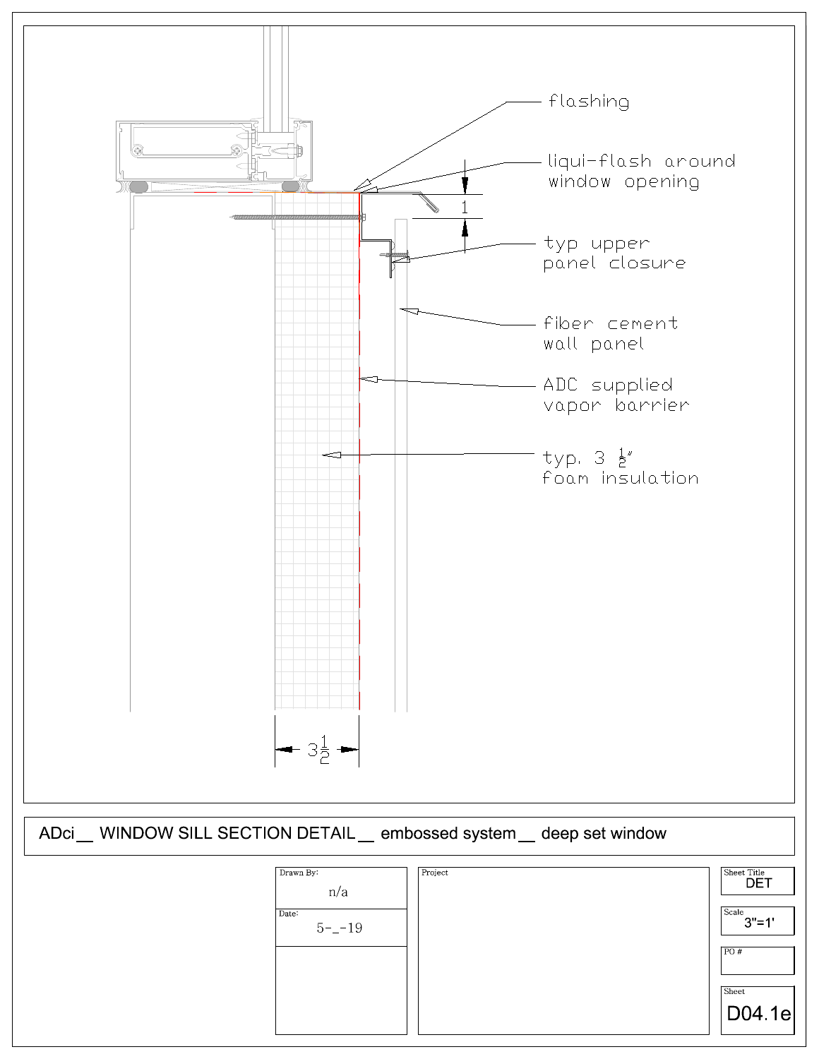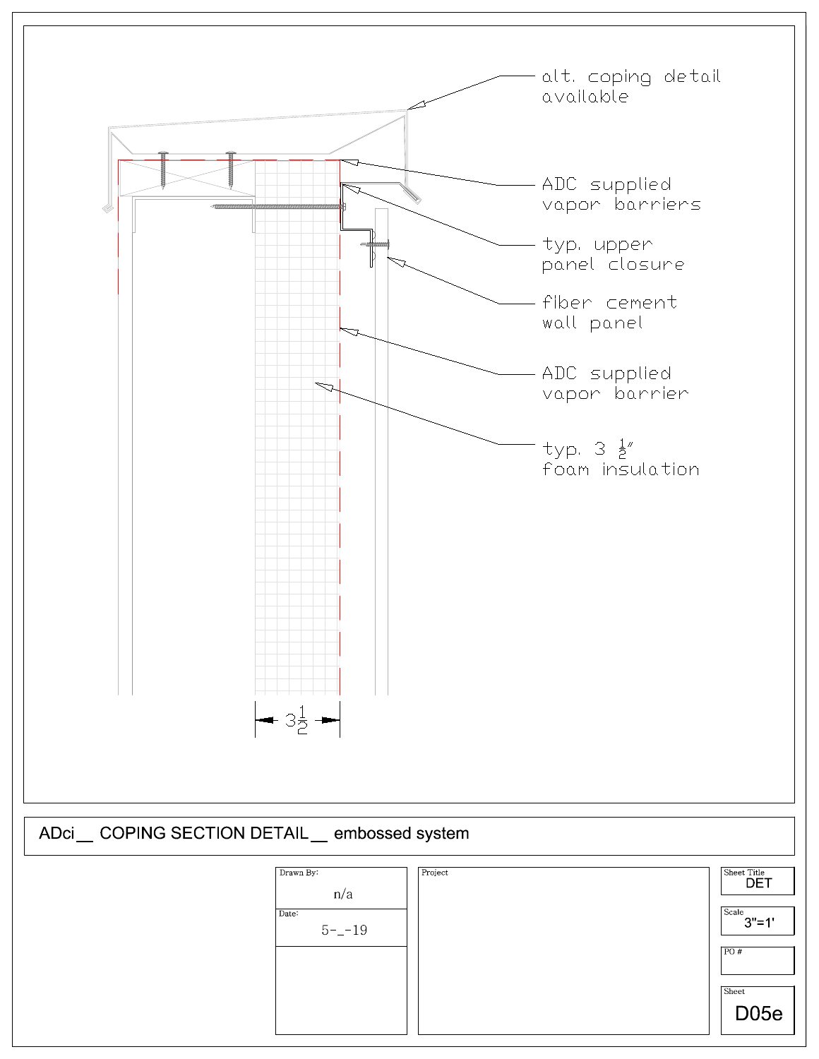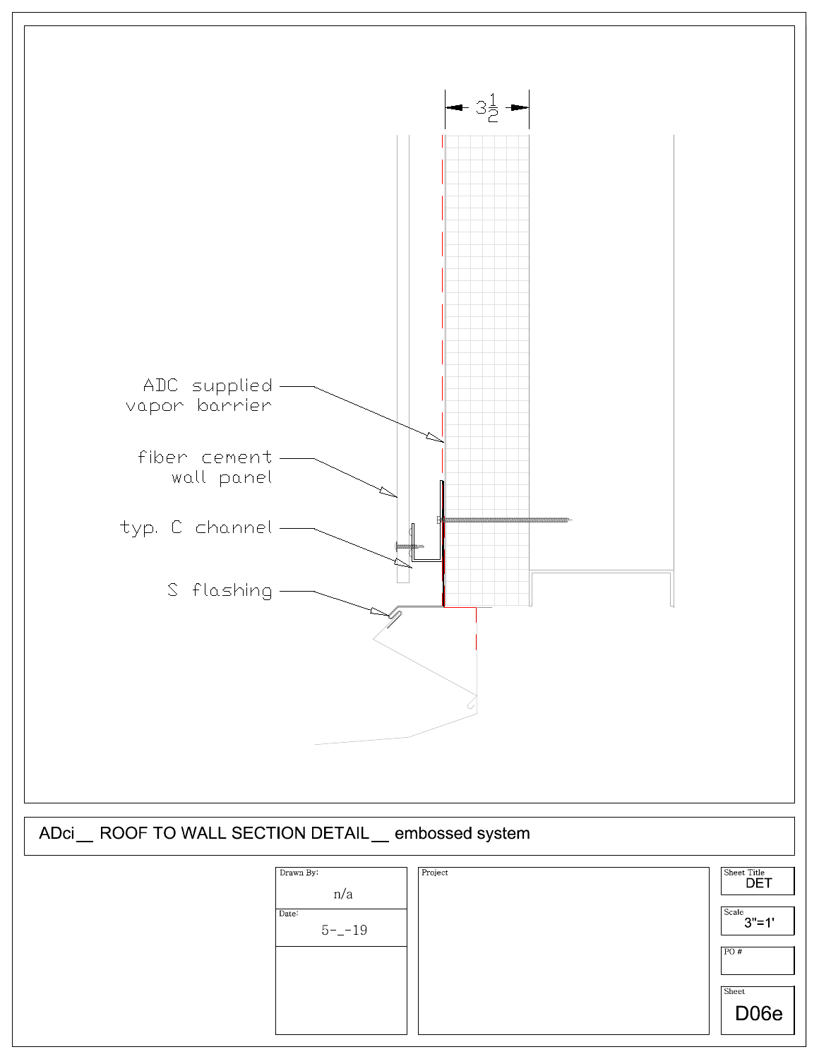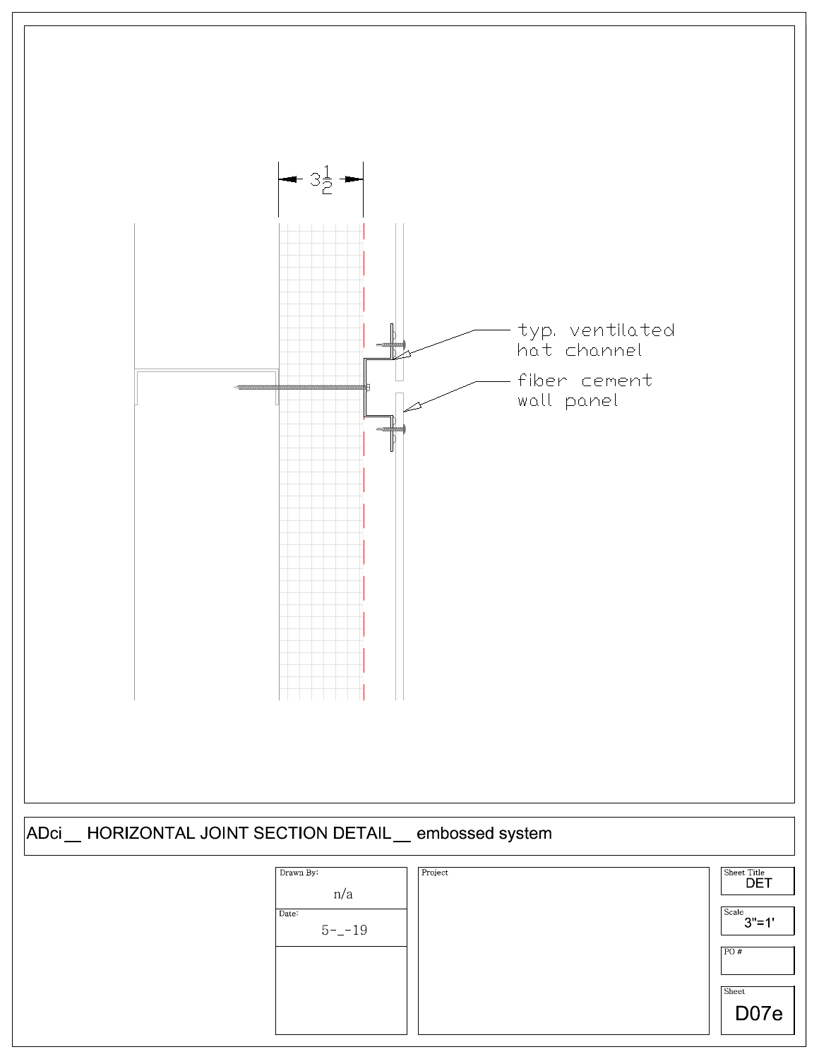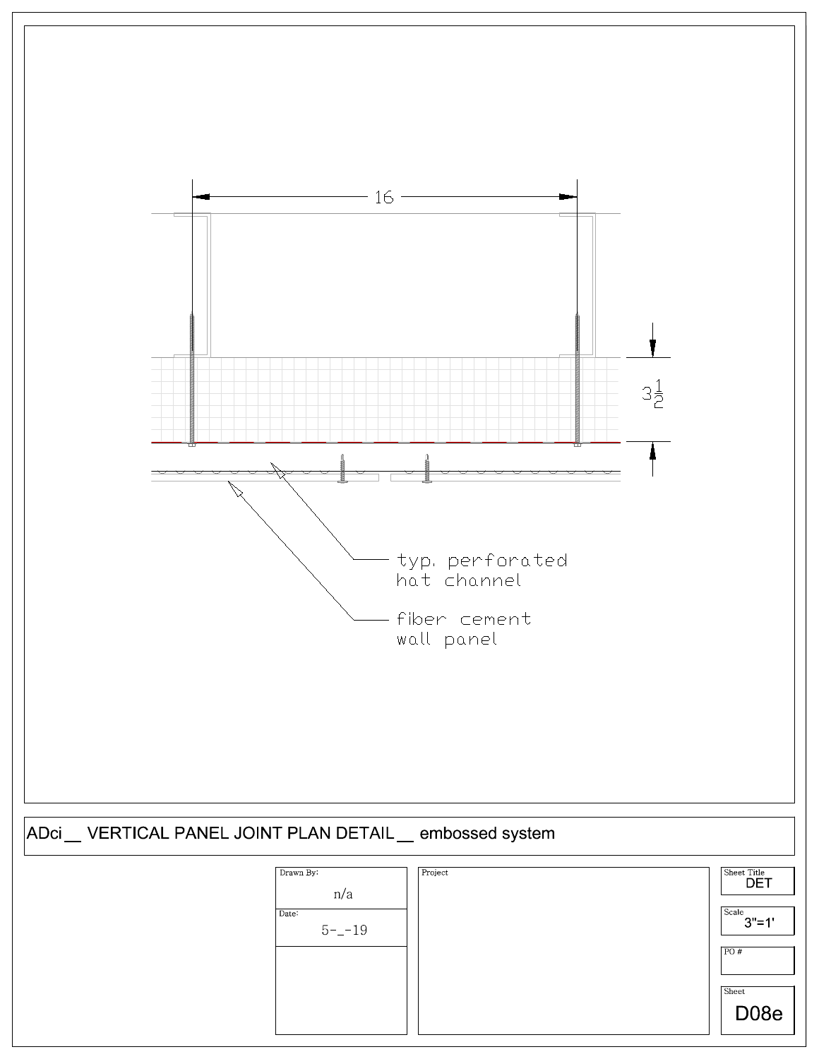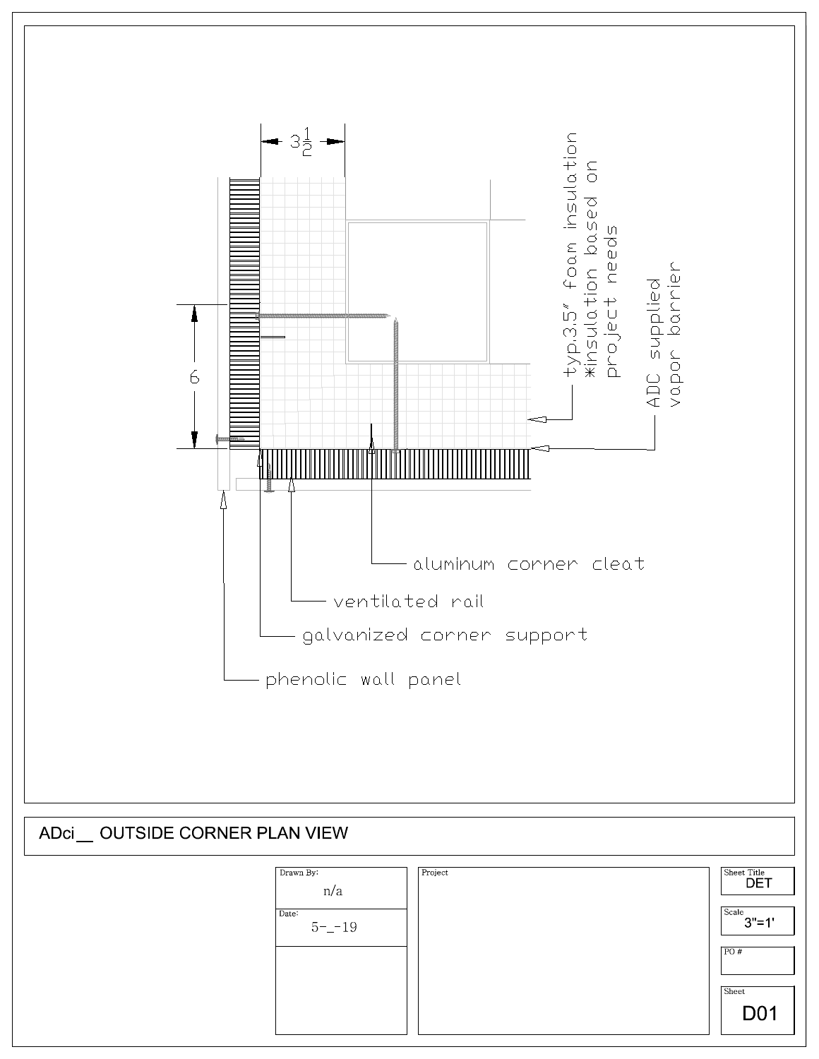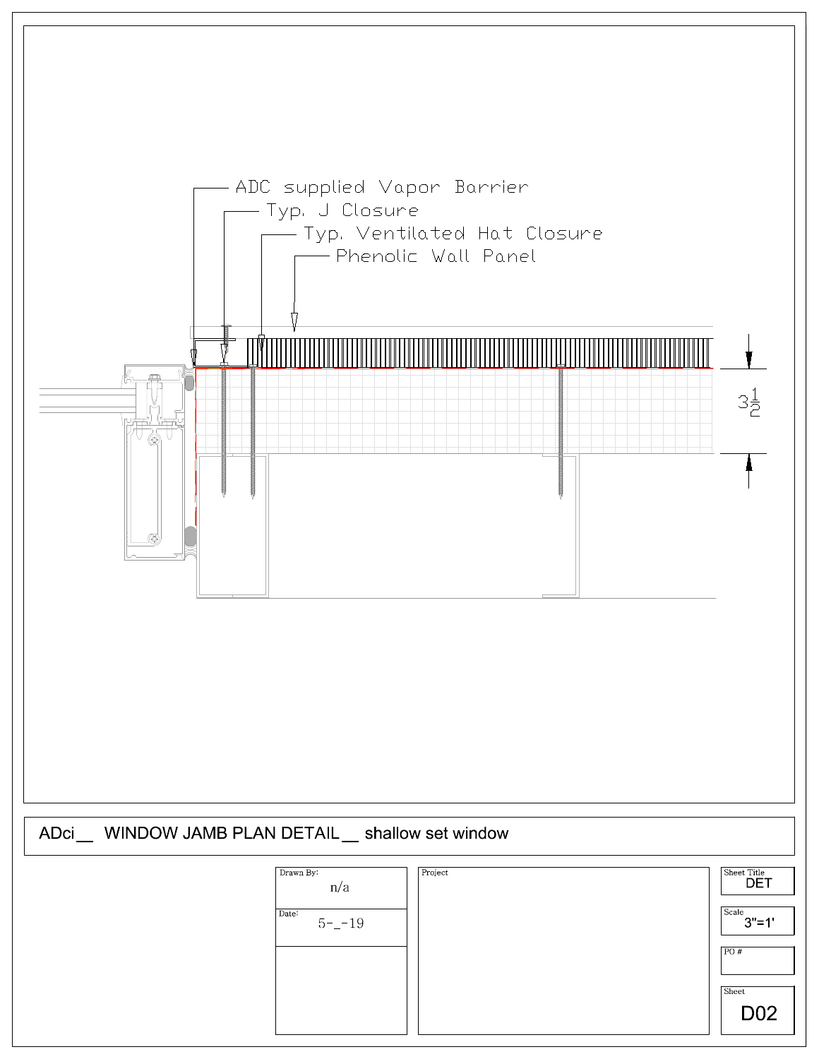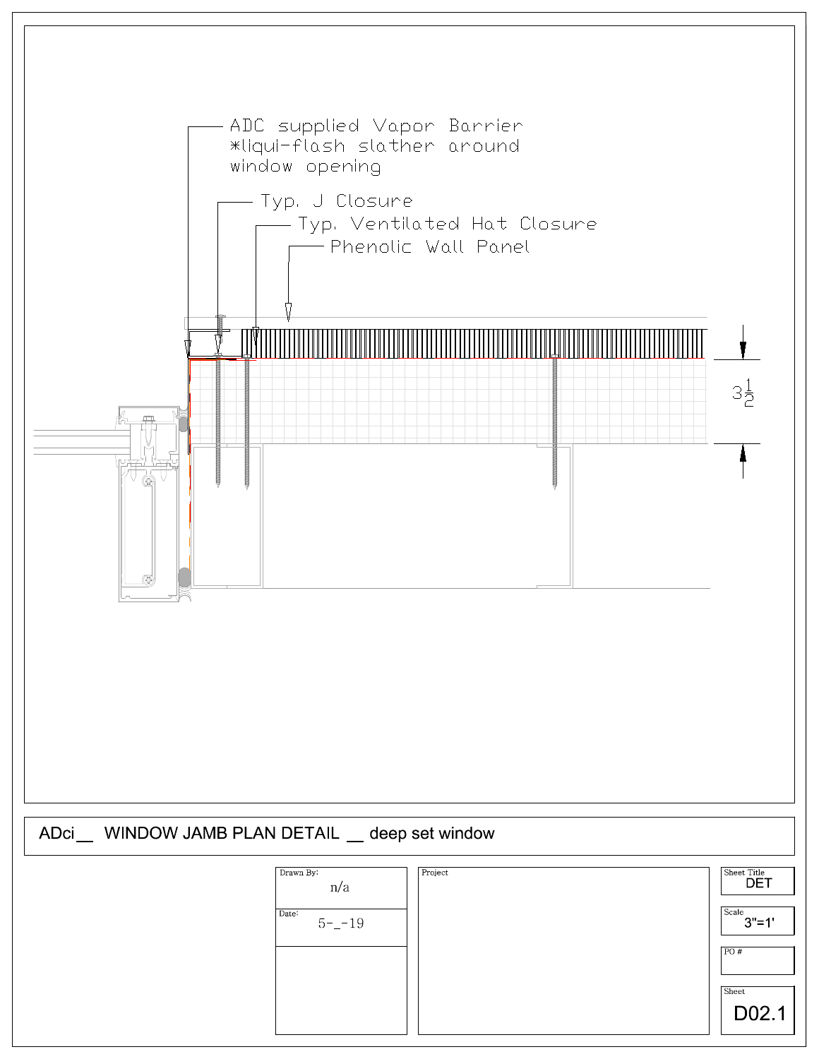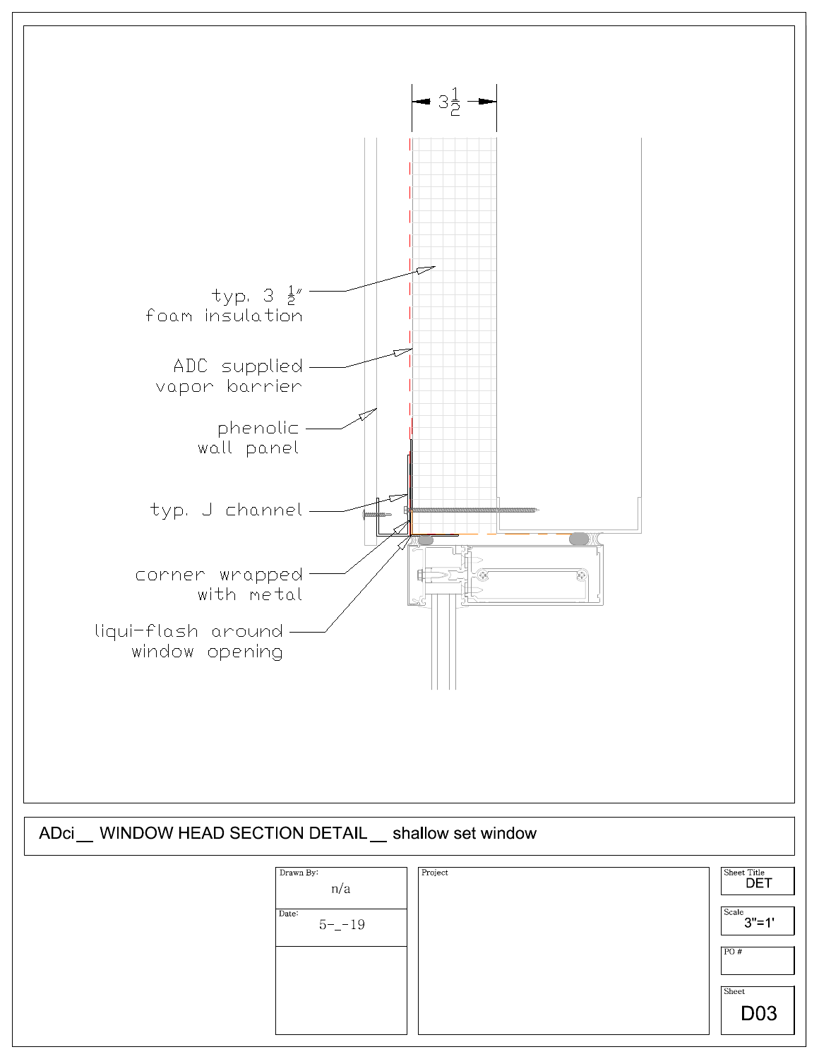

| Drawn By:<br>n/a   | Project | Sheet Title<br><b>DET</b> |
|--------------------|---------|---------------------------|
| Date:<br>$5 - -19$ |         | Scale<br>$3" = 1'$        |
|                    |         | PO#                       |
|                    |         | Sheet                     |
|                    |         | D <sub>03</sub>           |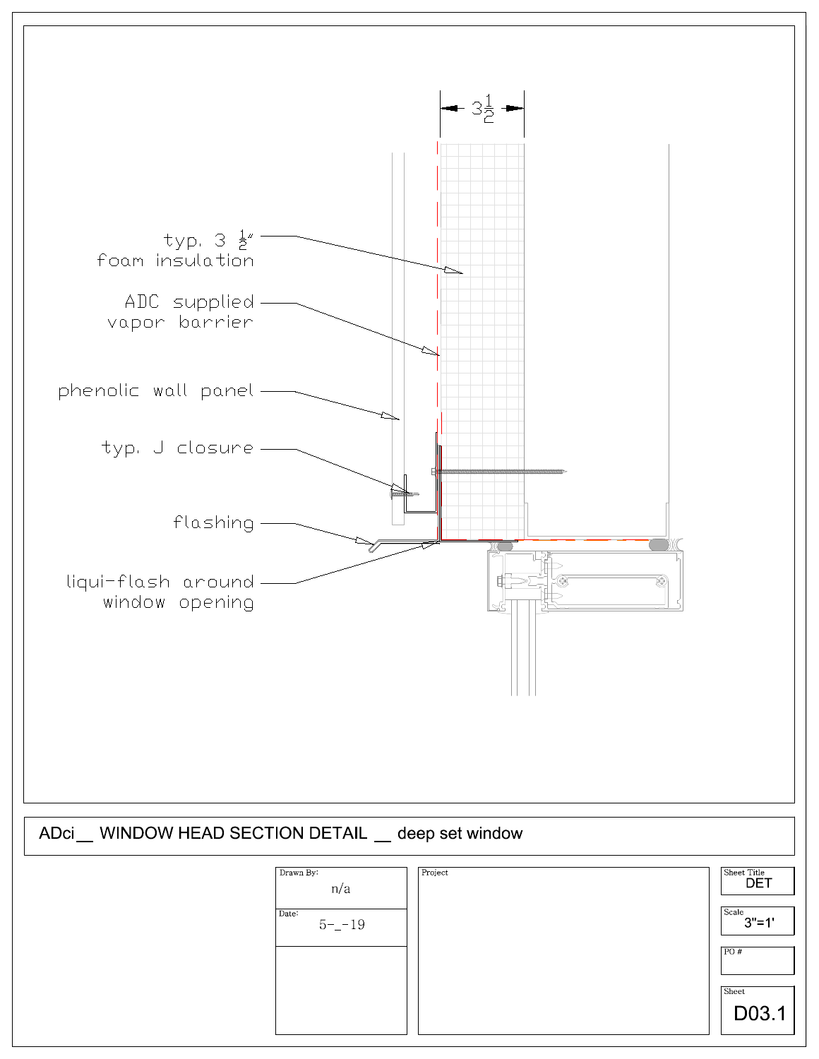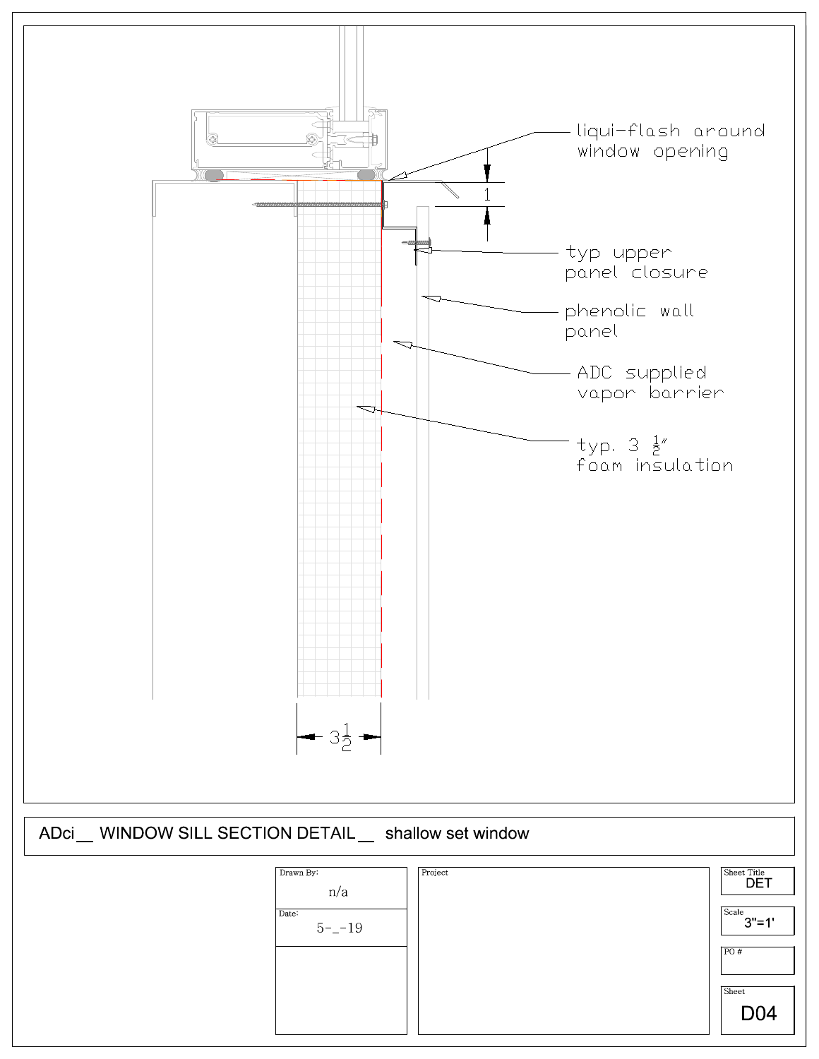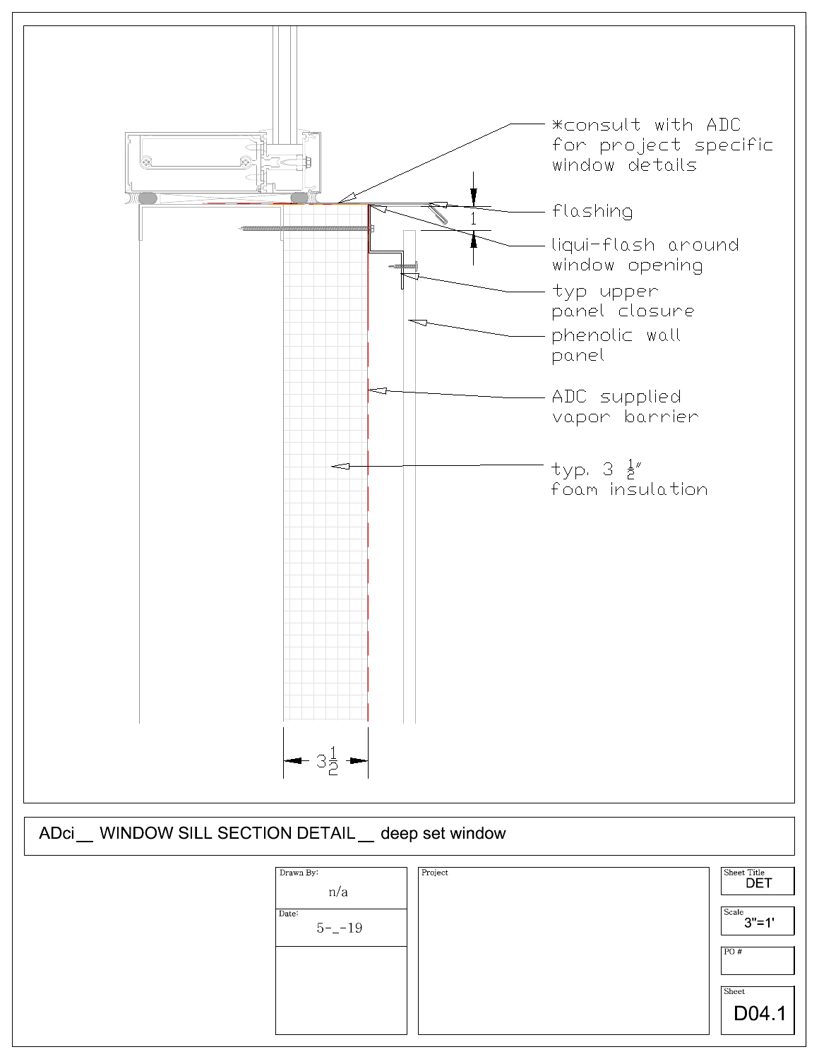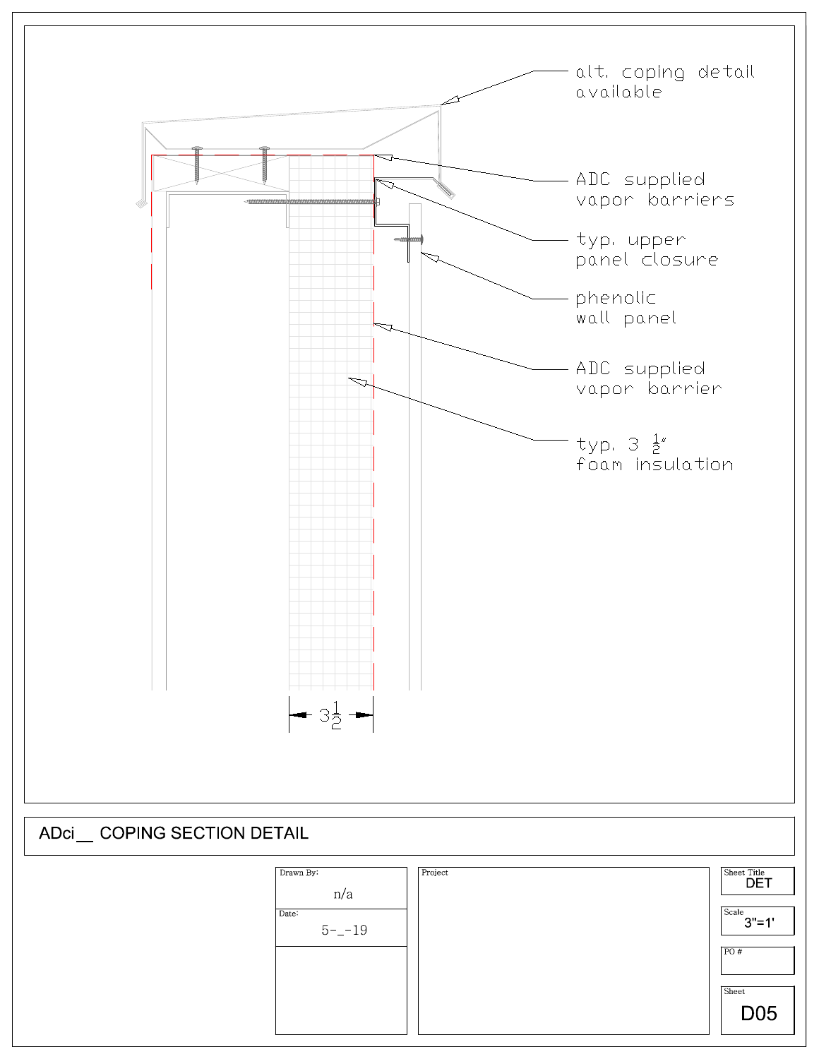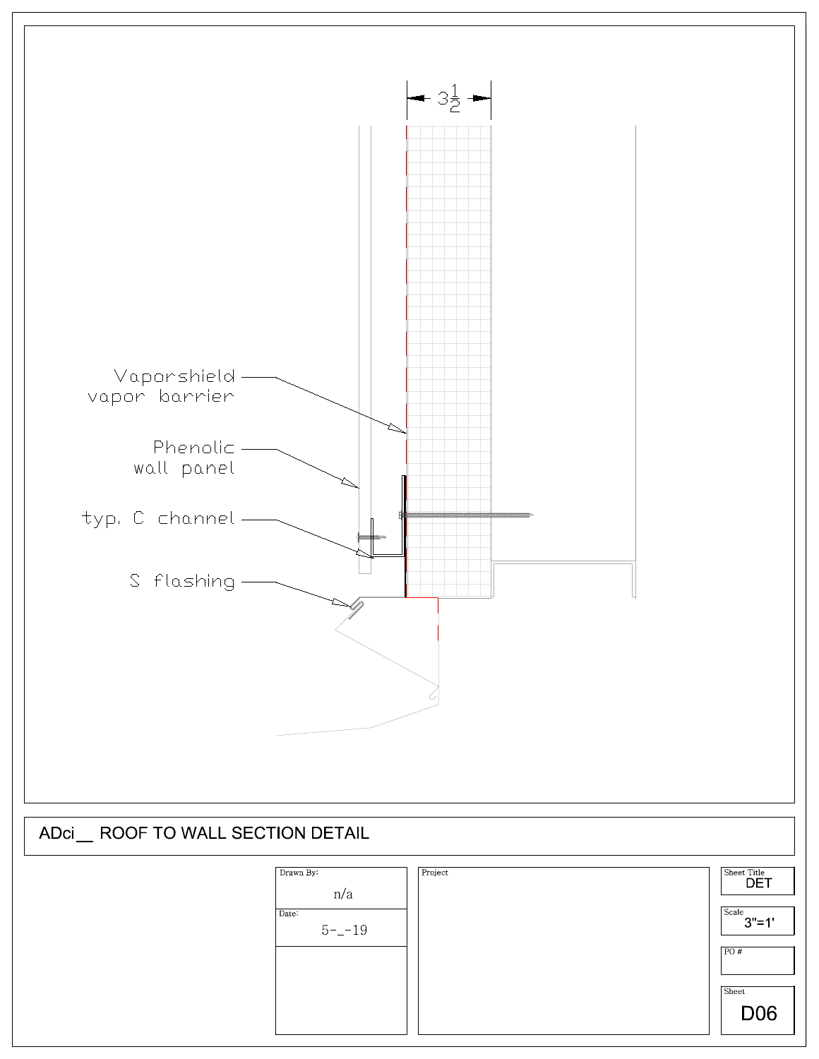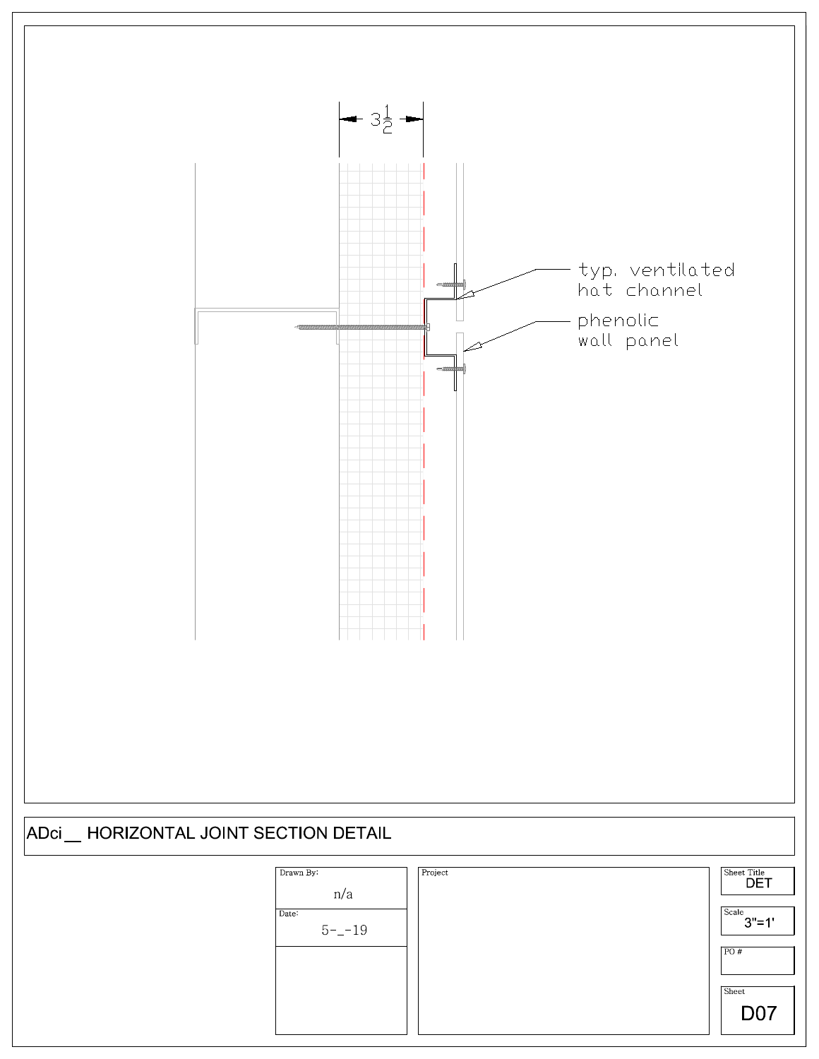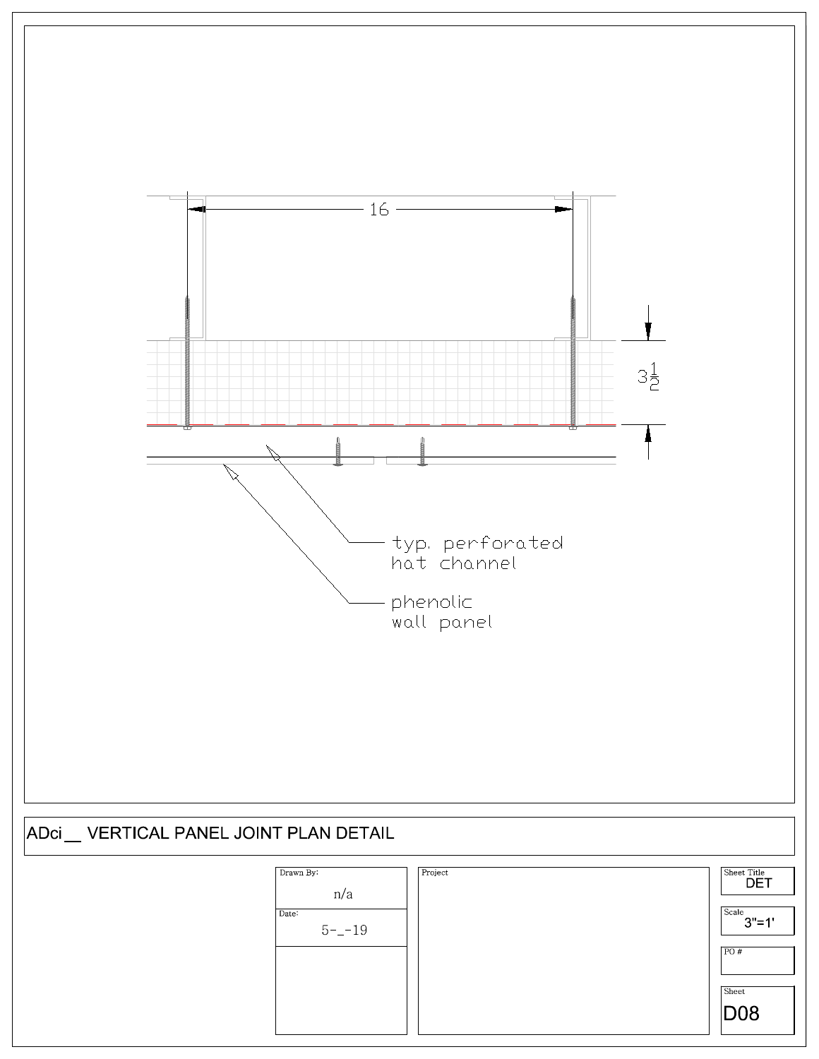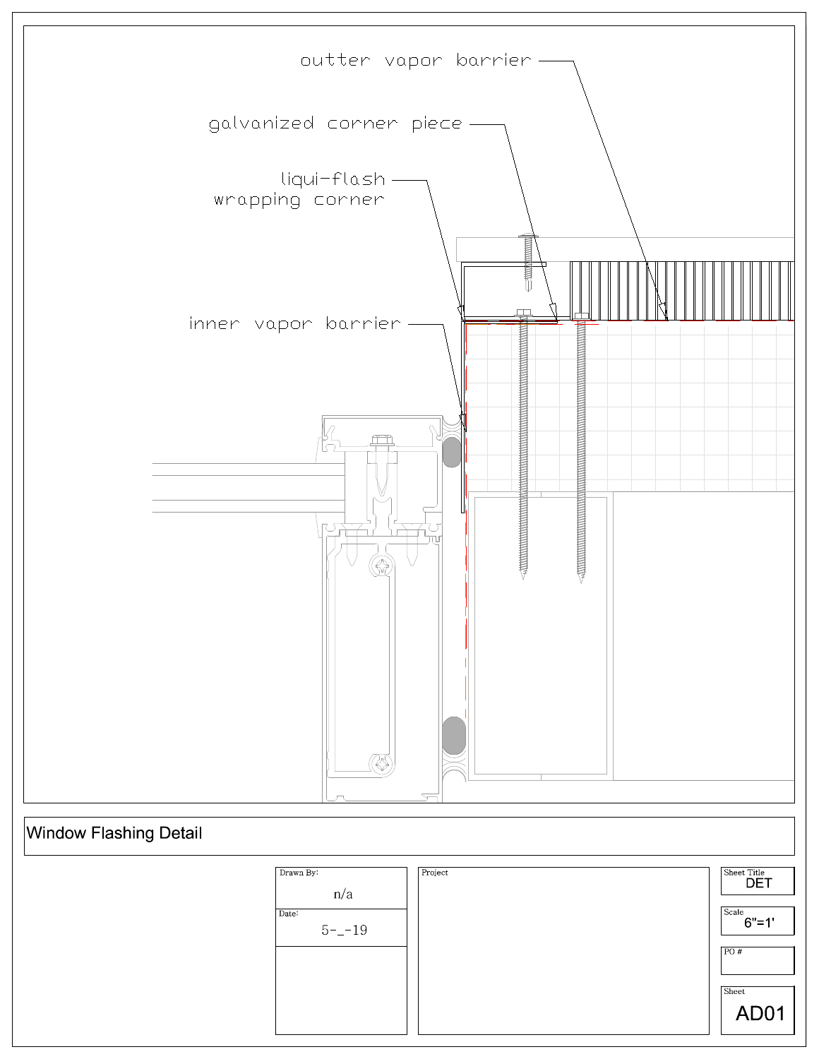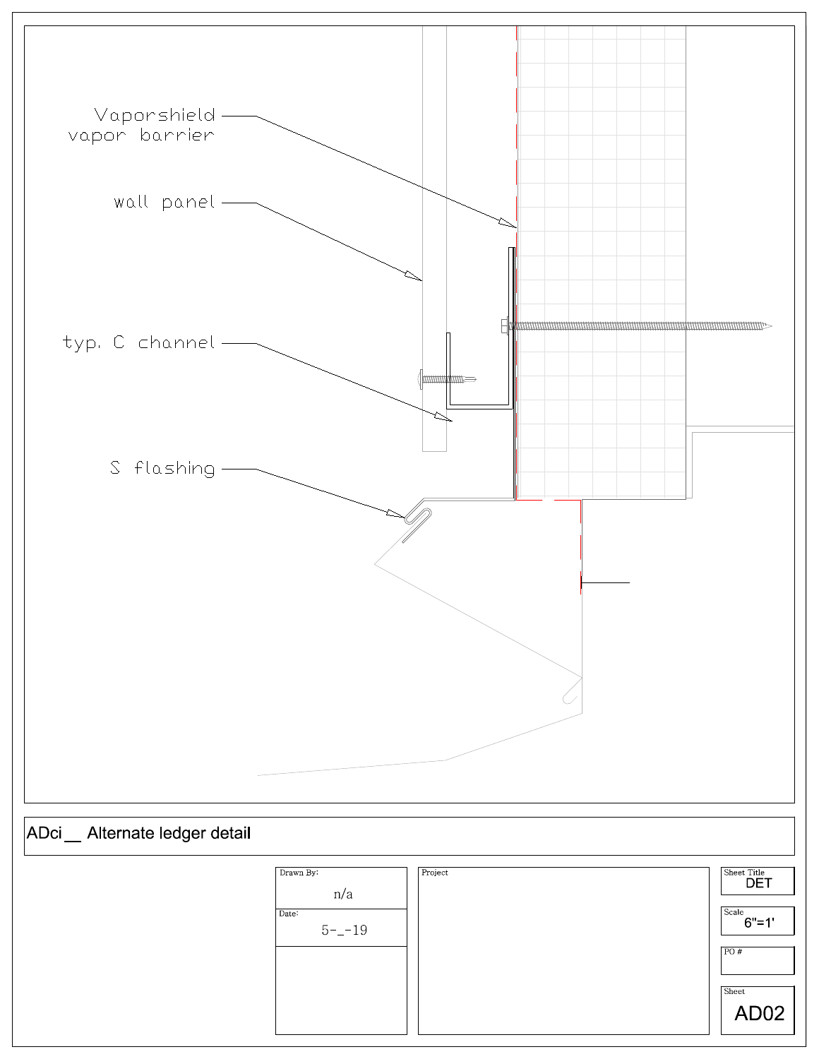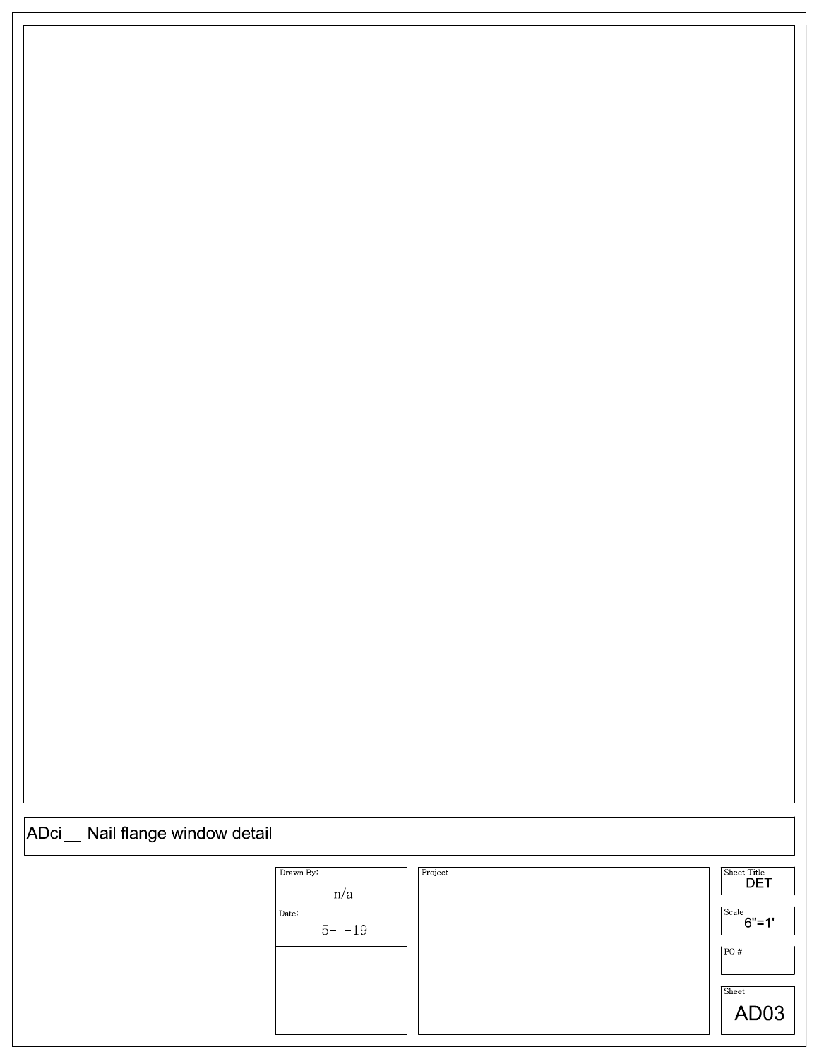## ADci Nail flange window detail

| Drawn By:<br>n/a   | Project | Sheet Title<br><b>DET</b> |
|--------------------|---------|---------------------------|
| Date:<br>$5 - -19$ |         | Scale<br>$6" = 1"$        |
|                    |         | PO#                       |
|                    |         | Sheet<br>AD <sub>03</sub> |
|                    |         |                           |